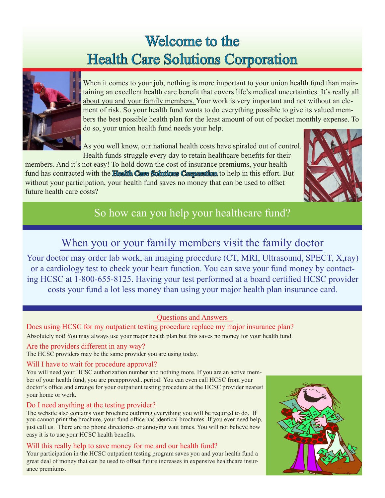# Welcome to the Health Care Solutions Corporation



When it comes to your job, nothing is more important to your union health fund than maintaining an excellent health care benefit that covers life's medical uncertainties. It's really all about you and your family members. Your work is very important and not without an element of risk. So your health fund wants to do everything possible to give its valued members the best possible health plan for the least amount of out of pocket monthly expense. To do so, your union health fund needs your help.

As you well know, our national health costs have spiraled out of control. Health funds struggle every day to retain healthcare benefits for their

members. And it's not easy! To hold down the cost of insurance premiums, your health fund has contracted with the **Health Care Solutions Corporation** to help in this effort. But without your participation, your health fund saves no money that can be used to offset future health care costs?



# So how can you help your healthcare fund?

## When you or your family members visit the family doctor

Your doctor may order lab work, an imaging procedure (CT, MRI, Ultrasound, SPECT, X,ray) or a cardiology test to check your heart function. You can save your fund money by contacting HCSC at 1-800-655-8125. Having your test performed at a board certified HCSC provider costs your fund a lot less money than using your major health plan insurance card.

## Questions and Answers

Does using HCSC for my outpatient testing procedure replace my major insurance plan? Absolutely not! You may always use your major health plan but this saves no money for your health fund.

#### Are the providers different in any way?

The HCSC providers may be the same provider you are using today.

#### Will I have to wait for procedure approval?

You will need your HCSC authorization number and nothing more. If you are an active member of your health fund, you are preapproved...period! You can even call HCSC from your doctor's office and arrange for your outpatient testing procedure at the HCSC provider nearest your home or work.

#### Do I need anything at the testing provider?

The website also contains your brochure outlining everything you will be required to do. If you cannot print the brochure, your fund office has identical brochures. If you ever need help, just call us. There are no phone directories or annoying wait times. You will not believe how easy it is to use your HCSC health benefits.

#### Will this really help to save money for me and our health fund?

Your participation in the HCSC outpatient testing program saves you and your health fund a great deal of money that can be used to offset future increases in expensive healthcare insurance premiums.

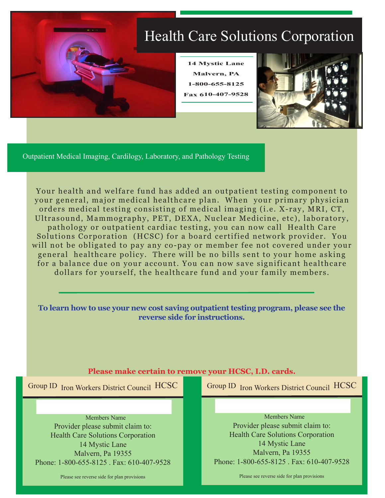

Outpatient Medical Imaging, Cardilogy, Laboratory, and Pathology Testing

Your health and welfare fund has added an outpatient testing component to your general, major medical healthcare plan. When your primary physician orders medical testing consisting of medical imaging (i.e. X-ray, MRI, CT, Ultrasound, Mammography, PET, DEXA, Nuclear Medicine, etc), laboratory, pathology or outpatient cardiac testing, you can now call Health Care Solutions Corporation (HCSC) for a board certified network provider. You will not be obligated to pay any co-pay or member fee not covered under your general healthcare policy. There will be no bills sent to your home asking for a balance due on your account. You can now save significant healthcare dollars for yourself, the healthcare fund and your family members.

**To learn how to use your new cost saving outpatient testing program, please see the reverse side for instructions.**

#### **Please make certain to remove your HCSC, I.D. cards.**

Group ID Iron Workers District Council HCSC

Provider please submit claim to: Health Care Solutions Corporation 14 Mystic Lane Malvern, Pa 19355 Phone: 1-800-655-8125 . Fax: 610-407-9528 Group ID Iron Workers District Council HCSC

Do not discard information sheet Do not discard in the Members Name<br>Provider please submit claim to:<br>Provider please submit claim to: Members Name Health Care Solutions Corporation 14 Mystic Lane Malvern, Pa 19355 Phone: 1-800-655-8125 Fax: 610-407-9528

Please see reverse side for plan provisions

Please see reverse side for plan provisions